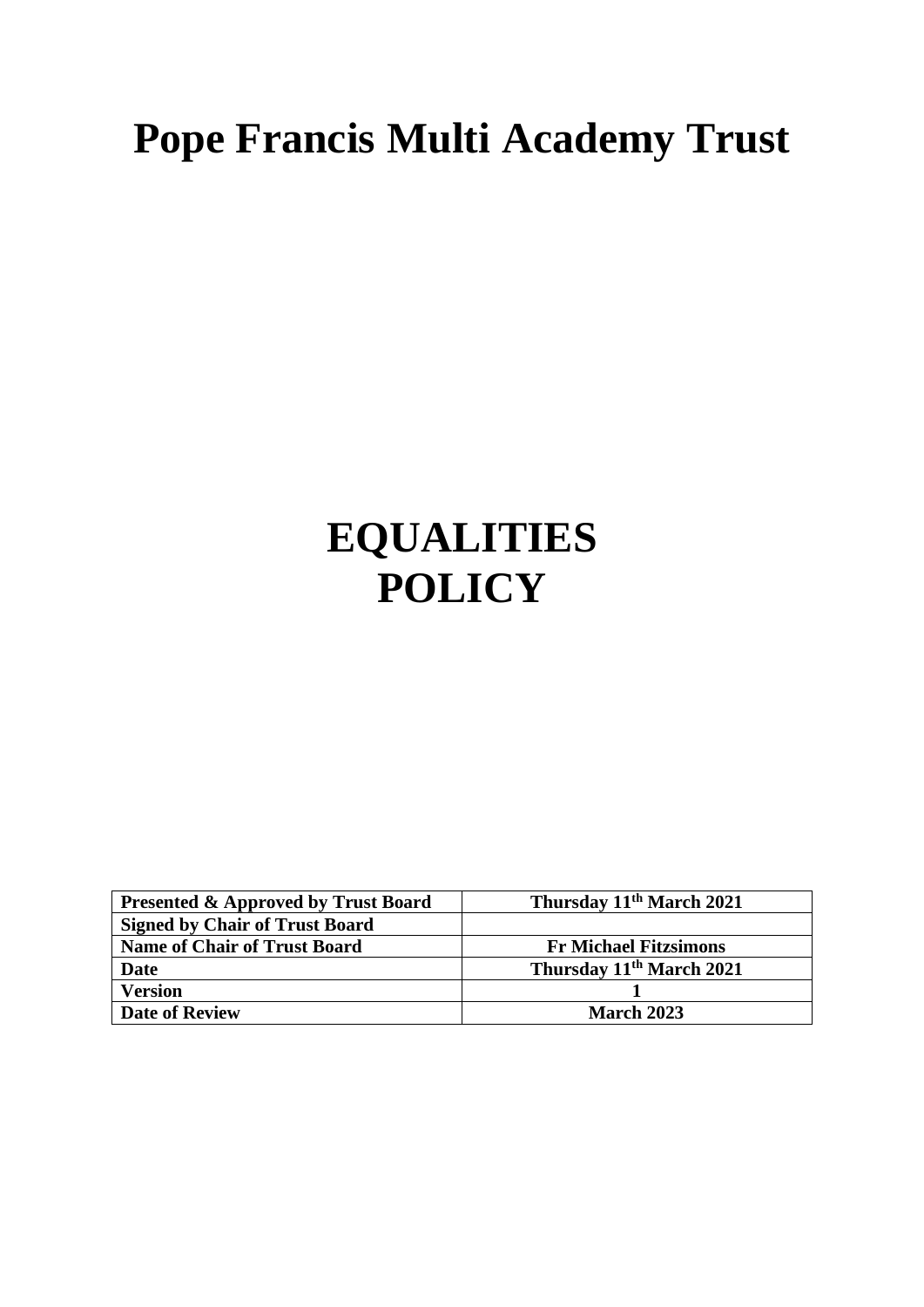# **Pope Francis Multi Academy Trust**

# **EQUALITIES POLICY**

| <b>Presented &amp; Approved by Trust Board</b> | Thursday 11 <sup>th</sup> March 2021 |
|------------------------------------------------|--------------------------------------|
| <b>Signed by Chair of Trust Board</b>          |                                      |
| <b>Name of Chair of Trust Board</b>            | <b>Fr Michael Fitzsimons</b>         |
| <b>Date</b>                                    | Thursday 11 <sup>th</sup> March 2021 |
| <b>Version</b>                                 |                                      |
| <b>Date of Review</b>                          | <b>March 2023</b>                    |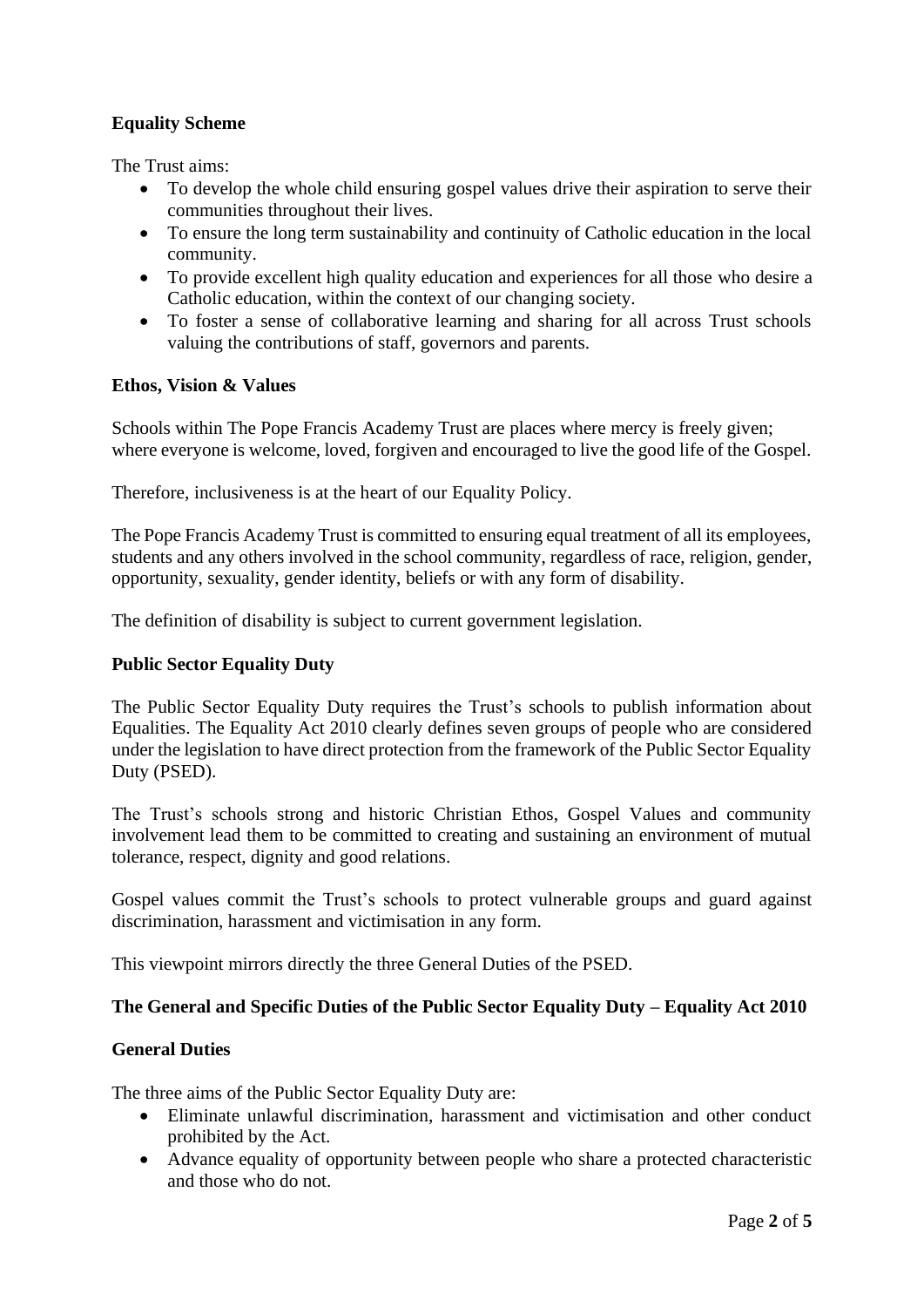# **Equality Scheme**

The Trust aims:

- To develop the whole child ensuring gospel values drive their aspiration to serve their communities throughout their lives.
- To ensure the long term sustainability and continuity of Catholic education in the local community.
- To provide excellent high quality education and experiences for all those who desire a Catholic education, within the context of our changing society.
- To foster a sense of collaborative learning and sharing for all across Trust schools valuing the contributions of staff, governors and parents.

# **Ethos, Vision & Values**

Schools within The Pope Francis Academy Trust are places where mercy is freely given; where everyone is welcome, loved, forgiven and encouraged to live the good life of the Gospel.

Therefore, inclusiveness is at the heart of our Equality Policy.

The Pope Francis Academy Trust is committed to ensuring equal treatment of all its employees, students and any others involved in the school community, regardless of race, religion, gender, opportunity, sexuality, gender identity, beliefs or with any form of disability.

The definition of disability is subject to current government legislation.

# **Public Sector Equality Duty**

The Public Sector Equality Duty requires the Trust's schools to publish information about Equalities. The Equality Act 2010 clearly defines seven groups of people who are considered under the legislation to have direct protection from the framework of the Public Sector Equality Duty (PSED).

The Trust's schools strong and historic Christian Ethos, Gospel Values and community involvement lead them to be committed to creating and sustaining an environment of mutual tolerance, respect, dignity and good relations.

Gospel values commit the Trust's schools to protect vulnerable groups and guard against discrimination, harassment and victimisation in any form.

This viewpoint mirrors directly the three General Duties of the PSED.

# **The General and Specific Duties of the Public Sector Equality Duty – Equality Act 2010**

# **General Duties**

The three aims of the Public Sector Equality Duty are:

- Eliminate unlawful discrimination, harassment and victimisation and other conduct prohibited by the Act.
- Advance equality of opportunity between people who share a protected characteristic and those who do not.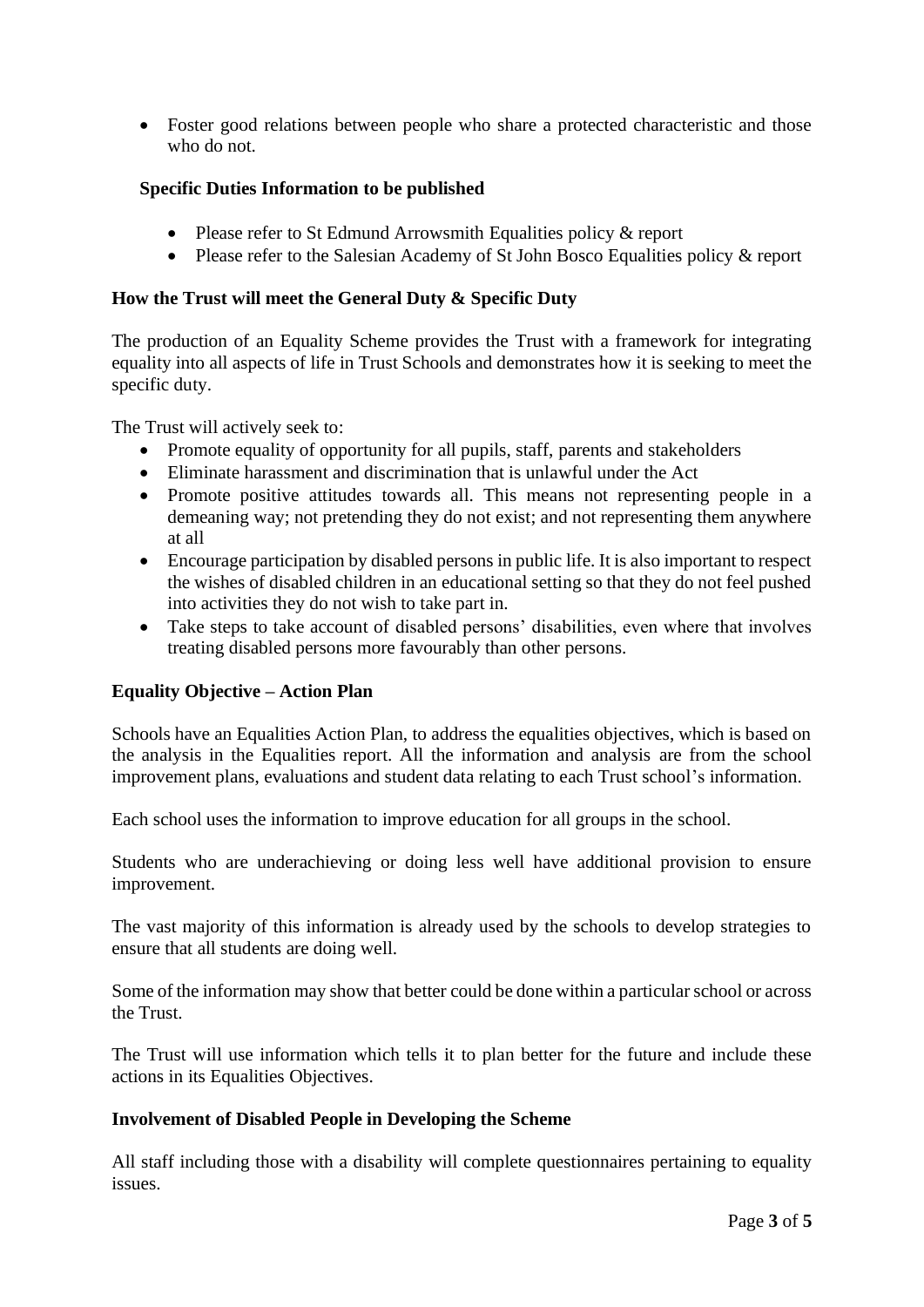• Foster good relations between people who share a protected characteristic and those who do not.

# **Specific Duties Information to be published**

- Please refer to St Edmund Arrowsmith Equalities policy & report
- Please refer to the Salesian Academy of St John Bosco Equalities policy & report

# **How the Trust will meet the General Duty & Specific Duty**

The production of an Equality Scheme provides the Trust with a framework for integrating equality into all aspects of life in Trust Schools and demonstrates how it is seeking to meet the specific duty.

The Trust will actively seek to:

- Promote equality of opportunity for all pupils, staff, parents and stakeholders
- Eliminate harassment and discrimination that is unlawful under the Act
- Promote positive attitudes towards all. This means not representing people in a demeaning way; not pretending they do not exist; and not representing them anywhere at all
- Encourage participation by disabled persons in public life. It is also important to respect the wishes of disabled children in an educational setting so that they do not feel pushed into activities they do not wish to take part in.
- Take steps to take account of disabled persons' disabilities, even where that involves treating disabled persons more favourably than other persons.

# **Equality Objective – Action Plan**

Schools have an Equalities Action Plan, to address the equalities objectives, which is based on the analysis in the Equalities report. All the information and analysis are from the school improvement plans, evaluations and student data relating to each Trust school's information.

Each school uses the information to improve education for all groups in the school.

Students who are underachieving or doing less well have additional provision to ensure improvement.

The vast majority of this information is already used by the schools to develop strategies to ensure that all students are doing well.

Some of the information may show that better could be done within a particular school or across the Trust.

The Trust will use information which tells it to plan better for the future and include these actions in its Equalities Objectives.

# **Involvement of Disabled People in Developing the Scheme**

All staff including those with a disability will complete questionnaires pertaining to equality issues.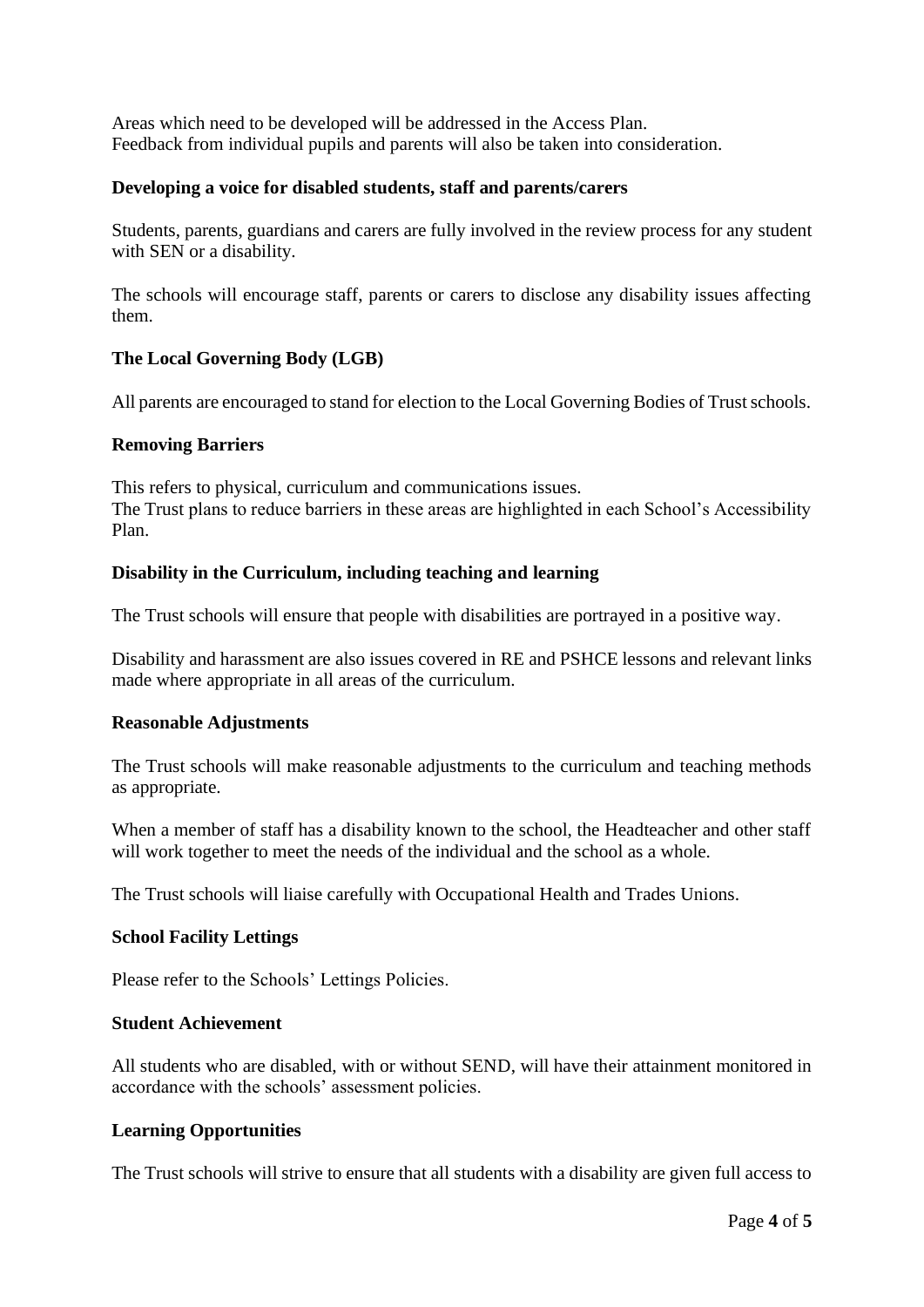Areas which need to be developed will be addressed in the Access Plan. Feedback from individual pupils and parents will also be taken into consideration.

# **Developing a voice for disabled students, staff and parents/carers**

Students, parents, guardians and carers are fully involved in the review process for any student with SEN or a disability.

The schools will encourage staff, parents or carers to disclose any disability issues affecting them.

# **The Local Governing Body (LGB)**

All parents are encouraged to stand for election to the Local Governing Bodies of Trust schools.

# **Removing Barriers**

This refers to physical, curriculum and communications issues. The Trust plans to reduce barriers in these areas are highlighted in each School's Accessibility Plan.

# **Disability in the Curriculum, including teaching and learning**

The Trust schools will ensure that people with disabilities are portrayed in a positive way.

Disability and harassment are also issues covered in RE and PSHCE lessons and relevant links made where appropriate in all areas of the curriculum.

# **Reasonable Adjustments**

The Trust schools will make reasonable adjustments to the curriculum and teaching methods as appropriate.

When a member of staff has a disability known to the school, the Headteacher and other staff will work together to meet the needs of the individual and the school as a whole.

The Trust schools will liaise carefully with Occupational Health and Trades Unions.

# **School Facility Lettings**

Please refer to the Schools' Lettings Policies.

# **Student Achievement**

All students who are disabled, with or without SEND, will have their attainment monitored in accordance with the schools' assessment policies.

# **Learning Opportunities**

The Trust schools will strive to ensure that all students with a disability are given full access to